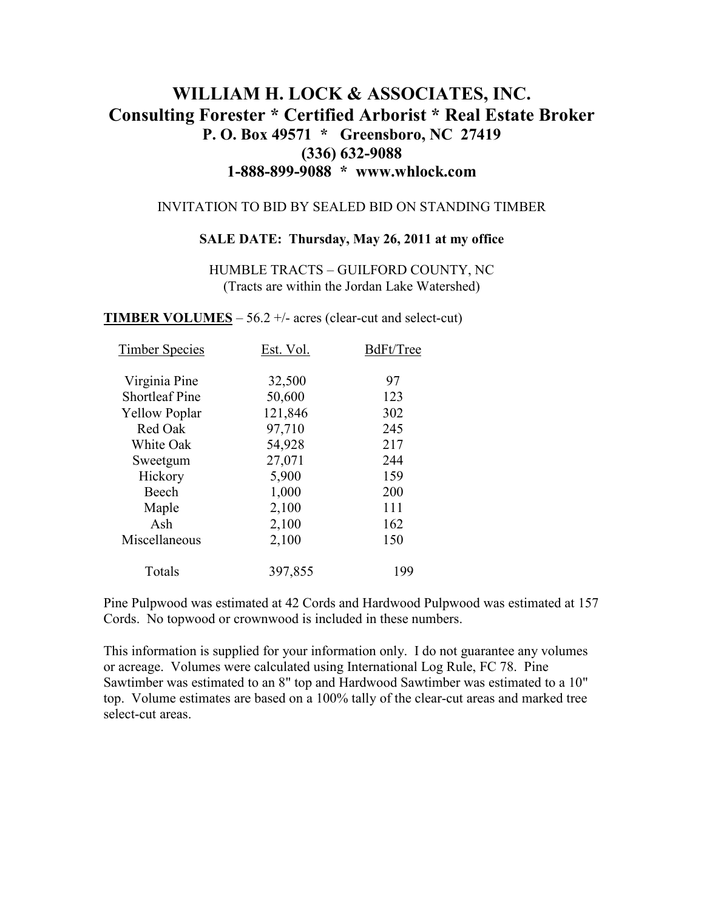# **WILLIAM H. LOCK & ASSOCIATES, INC. Consulting Forester \* Certified Arborist \* Real Estate Broker P. O. Box 49571 \* Greensboro, NC 27419 (336) 632-9088 1-888-899-9088 \* www.whlock.com**

### INVITATION TO BID BY SEALED BID ON STANDING TIMBER

#### **SALE DATE: Thursday, May 26, 2011 at my office**

HUMBLE TRACTS – GUILFORD COUNTY, NC (Tracts are within the Jordan Lake Watershed)

**TIMBER VOLUMES** – 56.2  $+/-$  acres (clear-cut and select-cut)

| <b>Timber Species</b> | Est. Vol. | BdFt/Tree |
|-----------------------|-----------|-----------|
| Virginia Pine         | 32,500    | 97        |
| <b>Shortleaf Pine</b> | 50,600    | 123       |
| <b>Yellow Poplar</b>  | 121,846   | 302       |
| Red Oak               | 97,710    | 245       |
| White Oak             | 54,928    | 217       |
| Sweetgum              | 27,071    | 244       |
| Hickory               | 5,900     | 159       |
| Beech                 | 1,000     | 200       |
| Maple                 | 2,100     | 111       |
| Ash                   | 2,100     | 162       |
| Miscellaneous         | 2,100     | 150       |
| Totals                | 397,855   | 199       |

Pine Pulpwood was estimated at 42 Cords and Hardwood Pulpwood was estimated at 157 Cords. No topwood or crownwood is included in these numbers.

This information is supplied for your information only. I do not guarantee any volumes or acreage. Volumes were calculated using International Log Rule, FC 78. Pine Sawtimber was estimated to an 8" top and Hardwood Sawtimber was estimated to a 10" top. Volume estimates are based on a 100% tally of the clear-cut areas and marked tree select-cut areas.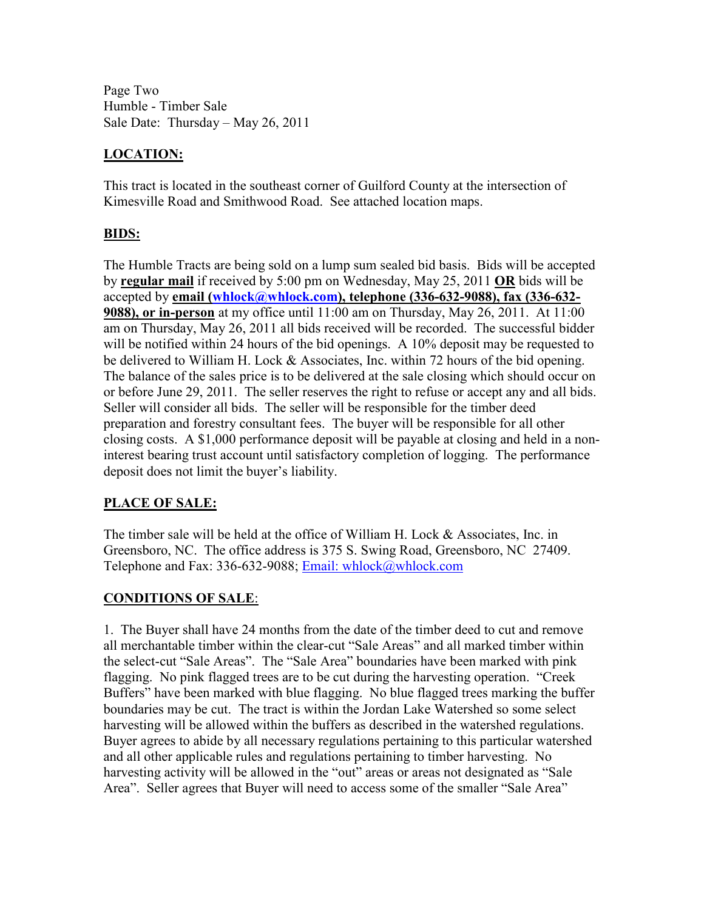Page Two Humble - Timber Sale Sale Date: Thursday – May 26, 2011

# **LOCATION:**

This tract is located in the southeast corner of Guilford County at the intersection of Kimesville Road and Smithwood Road. See attached location maps.

# **BIDS:**

The Humble Tracts are being sold on a lump sum sealed bid basis. Bids will be accepted by **regular mail** if received by 5:00 pm on Wednesday, May 25, 2011 **OR** bids will be accepted by **email (whlock@whlock.com), telephone (336-632-9088), fax (336-632- 9088), or in-person** at my office until 11:00 am on Thursday, May 26, 2011. At 11:00 am on Thursday, May 26, 2011 all bids received will be recorded. The successful bidder will be notified within 24 hours of the bid openings. A 10% deposit may be requested to be delivered to William H. Lock & Associates, Inc. within 72 hours of the bid opening. The balance of the sales price is to be delivered at the sale closing which should occur on or before June 29, 2011. The seller reserves the right to refuse or accept any and all bids. Seller will consider all bids. The seller will be responsible for the timber deed preparation and forestry consultant fees. The buyer will be responsible for all other closing costs. A \$1,000 performance deposit will be payable at closing and held in a noninterest bearing trust account until satisfactory completion of logging. The performance deposit does not limit the buyer's liability.

# **PLACE OF SALE:**

The timber sale will be held at the office of William H. Lock & Associates, Inc. in Greensboro, NC. The office address is 375 S. Swing Road, Greensboro, NC 27409. Telephone and Fax: 336-632-9088; Email: whlock@whlock.com

# **CONDITIONS OF SALE**:

1. The Buyer shall have 24 months from the date of the timber deed to cut and remove all merchantable timber within the clear-cut "Sale Areas" and all marked timber within the select-cut "Sale Areas". The "Sale Area" boundaries have been marked with pink flagging. No pink flagged trees are to be cut during the harvesting operation. "Creek Buffers" have been marked with blue flagging. No blue flagged trees marking the buffer boundaries may be cut. The tract is within the Jordan Lake Watershed so some select harvesting will be allowed within the buffers as described in the watershed regulations. Buyer agrees to abide by all necessary regulations pertaining to this particular watershed and all other applicable rules and regulations pertaining to timber harvesting. No harvesting activity will be allowed in the "out" areas or areas not designated as "Sale Area". Seller agrees that Buyer will need to access some of the smaller "Sale Area"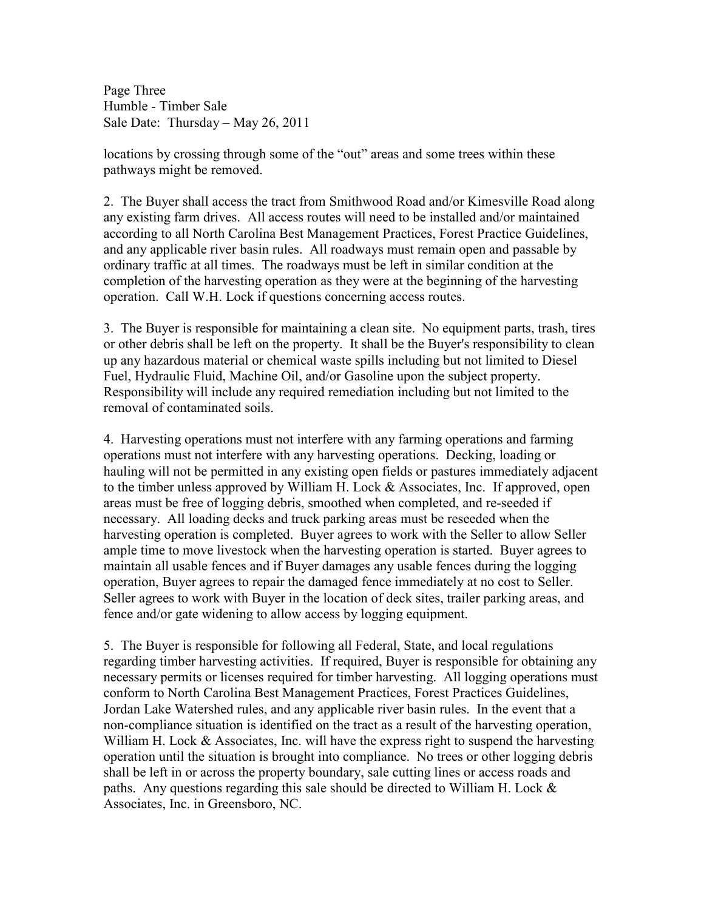Page Three Humble - Timber Sale Sale Date: Thursday – May 26, 2011

locations by crossing through some of the "out" areas and some trees within these pathways might be removed.

2. The Buyer shall access the tract from Smithwood Road and/or Kimesville Road along any existing farm drives. All access routes will need to be installed and/or maintained according to all North Carolina Best Management Practices, Forest Practice Guidelines, and any applicable river basin rules. All roadways must remain open and passable by ordinary traffic at all times. The roadways must be left in similar condition at the completion of the harvesting operation as they were at the beginning of the harvesting operation. Call W.H. Lock if questions concerning access routes.

3. The Buyer is responsible for maintaining a clean site. No equipment parts, trash, tires or other debris shall be left on the property. It shall be the Buyer's responsibility to clean up any hazardous material or chemical waste spills including but not limited to Diesel Fuel, Hydraulic Fluid, Machine Oil, and/or Gasoline upon the subject property. Responsibility will include any required remediation including but not limited to the removal of contaminated soils.

4. Harvesting operations must not interfere with any farming operations and farming operations must not interfere with any harvesting operations. Decking, loading or hauling will not be permitted in any existing open fields or pastures immediately adjacent to the timber unless approved by William H. Lock  $\&$  Associates, Inc. If approved, open areas must be free of logging debris, smoothed when completed, and re-seeded if necessary. All loading decks and truck parking areas must be reseeded when the harvesting operation is completed. Buyer agrees to work with the Seller to allow Seller ample time to move livestock when the harvesting operation is started. Buyer agrees to maintain all usable fences and if Buyer damages any usable fences during the logging operation, Buyer agrees to repair the damaged fence immediately at no cost to Seller. Seller agrees to work with Buyer in the location of deck sites, trailer parking areas, and fence and/or gate widening to allow access by logging equipment.

5. The Buyer is responsible for following all Federal, State, and local regulations regarding timber harvesting activities. If required, Buyer is responsible for obtaining any necessary permits or licenses required for timber harvesting. All logging operations must conform to North Carolina Best Management Practices, Forest Practices Guidelines, Jordan Lake Watershed rules, and any applicable river basin rules. In the event that a non-compliance situation is identified on the tract as a result of the harvesting operation, William H. Lock & Associates, Inc. will have the express right to suspend the harvesting operation until the situation is brought into compliance. No trees or other logging debris shall be left in or across the property boundary, sale cutting lines or access roads and paths. Any questions regarding this sale should be directed to William H. Lock & Associates, Inc. in Greensboro, NC.